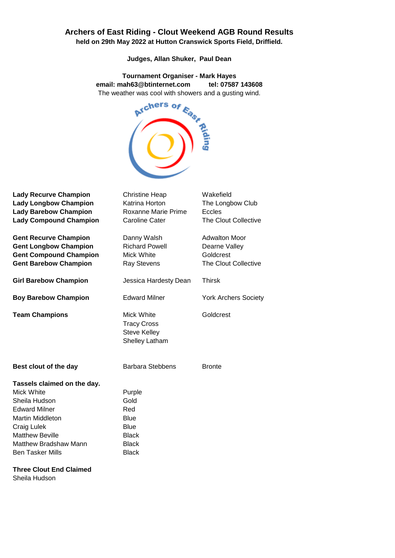## **Archers of East Riding - Clout Weekend AGB Round Results**

**held on 29th May 2022 at Hutton Cranswick Sports Field, Driffield.**

**Judges, Allan Shuker, Paul Dean**

**email: mah63@btinternet.com tel: 07587 143608** The weather was cool with showers and a gusting wind.



| <b>Lady Recurve Champion</b>   | <b>Christine Heap</b>                                                     | Wakefield                   |
|--------------------------------|---------------------------------------------------------------------------|-----------------------------|
| <b>Lady Longbow Champion</b>   | Katrina Horton                                                            | The Longbow Club            |
| <b>Lady Barebow Champion</b>   | <b>Roxanne Marie Prime</b>                                                | Eccles                      |
| <b>Lady Compound Champion</b>  | <b>Caroline Cater</b>                                                     | The Clout Collective        |
| <b>Gent Recurve Champion</b>   | Danny Walsh                                                               | <b>Adwalton Moor</b>        |
| <b>Gent Longbow Champion</b>   | <b>Richard Powell</b>                                                     | Dearne Valley               |
| <b>Gent Compound Champion</b>  | Mick White                                                                | Goldcrest                   |
| <b>Gent Barebow Champion</b>   | <b>Ray Stevens</b>                                                        | The Clout Collective        |
| <b>Girl Barebow Champion</b>   | Jessica Hardesty Dean                                                     | <b>Thirsk</b>               |
| <b>Boy Barebow Champion</b>    | <b>Edward Milner</b>                                                      | <b>York Archers Society</b> |
| <b>Team Champions</b>          | Mick White<br><b>Tracy Cross</b><br><b>Steve Kelley</b><br>Shelley Latham | Goldcrest                   |
| Best clout of the day          | <b>Barbara Stebbens</b>                                                   | <b>Bronte</b>               |
| Tassels claimed on the day.    |                                                                           |                             |
| Mick White                     | Purple                                                                    |                             |
| Sheila Hudson                  | Gold                                                                      |                             |
| <b>Edward Milner</b>           | Red                                                                       |                             |
| <b>Martin Middleton</b>        | <b>Blue</b>                                                               |                             |
| Craig Lulek                    | <b>Blue</b>                                                               |                             |
| <b>Matthew Beville</b>         | <b>Black</b>                                                              |                             |
| <b>Matthew Bradshaw Mann</b>   | <b>Black</b>                                                              |                             |
| <b>Ben Tasker Mills</b>        | <b>Black</b>                                                              |                             |
| <b>Three Clout End Claimed</b> |                                                                           |                             |

Sheila Hudson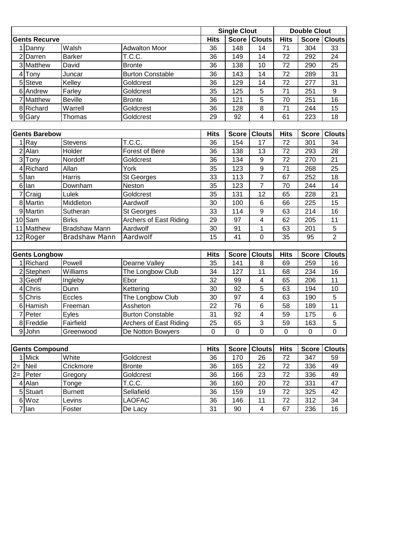|                 |                       |                      |                         |                  | <b>Single Clout</b> |                           |             | <b>Double Clout</b> |                |
|-----------------|-----------------------|----------------------|-------------------------|------------------|---------------------|---------------------------|-------------|---------------------|----------------|
|                 | <b>Gents Recurve</b>  |                      |                         | <b>Hits</b>      |                     | Score   Clouts            | <b>Hits</b> | Score               | <b>Clouts</b>  |
|                 | 1 Danny               | Walsh                | <b>Adwalton Moor</b>    | 36               | 148                 | 14                        | 71          | 304                 | 33             |
|                 | 2 Darren              | <b>Barker</b>        | T.C.C.                  | 36               | 149                 | 14                        | 72          | 292                 | 24             |
|                 | 3 Matthew             | David                | <b>Bronte</b>           | 36               | 138                 | 10                        | 72          | 290                 | 25             |
|                 | 4 Tony                | Juncar               | <b>Burton Constable</b> | 36               | 143                 | 14                        | 72          | 289                 | 31             |
|                 | 5 Steve               | Kelley               | Goldcrest               | 36               | 129                 | 14                        | 72          | 277                 | 31             |
|                 | 6 Andrew              | Farley               | Goldcrest               | 35               | 125                 | 5                         | 71          | 251                 | 9              |
|                 | 7 Matthew             | <b>Beville</b>       | <b>Bronte</b>           | 36               | 121                 | 5                         | 70          | 251                 | 16             |
|                 | 8 Richard             | Warrell              | Goldcrest               | 36               | 128                 | 8                         | 71          | 244                 | 15             |
|                 | 9 Gary                | Thomas               | Goldcrest               | 29               | 92                  | 4                         | 61          | 223                 | 18             |
|                 |                       |                      |                         |                  |                     |                           |             |                     |                |
|                 | <b>Gents Barebow</b>  |                      |                         | <b>Hits</b>      | Score               | <b>Clouts</b>             | <b>Hits</b> | Score               | <b>Clouts</b>  |
|                 | 1 Ray                 | <b>Stevens</b>       | T.C.C.                  | 36               | 154                 | 17                        | 72          | 301                 | 34             |
|                 | $2$ Alan              | Holder               | Forest of Bere          | 36               | 138                 | 13                        | 72          | 293                 | 28             |
|                 | 3Tony                 | Nordoff              | Goldcrest               | 36               | 134                 | $\boldsymbol{9}$          | 72          | 270                 | 21             |
| $\vert$         | Richard               | Allan                | York                    | 35               | 123                 | $\boldsymbol{9}$          | 71          | 268                 | 25             |
|                 | $5$ lan               | Harris               | St Georges              | 33               | 113                 | $\overline{7}$            | 67          | 252                 | 18             |
|                 | 6llan                 | Downham              | Neston                  | 35               | 123                 | $\overline{7}$            | 70          | 244                 | 14             |
|                 | $\overline{7}$ Craig  | Lulek                | Goldcrest               | 35               | 131                 | 12                        | 65          | 228                 | 21             |
|                 | 8 Martin              | Middleton            | Aardwolf                | 30               | 100                 | $6\phantom{1}6$           | 66          | 225                 | 15             |
|                 | 9 Martin              | Sutheran             | St Georges              | 33               | 114                 | 9                         | 63          | 214                 | 16             |
|                 | $10$ Sam              | <b>Birks</b>         | Archers of East Riding  | 29               | 97                  | 4                         | 62          | 205                 | 11             |
|                 | 11 Matthew            | <b>Bradshaw Mann</b> | Aardwolf                | 30               | 91                  | 1                         | 63          | 201                 | 5              |
|                 | 12 Roger              | Bradshaw Mann        | Aardwolf                | 15               | 41                  | 0                         | 35          | 95                  | $\overline{2}$ |
|                 |                       |                      |                         |                  |                     |                           |             |                     |                |
|                 | <b>Gents Longbow</b>  |                      |                         | <b>Hits</b>      | <b>Score</b>        | <b>Clouts</b>             | <b>Hits</b> | <b>Score</b>        | <b>Clouts</b>  |
|                 | 1 Richard             | Powell               | Dearne Valley           | 35               | 141                 | 8                         | 69          | 259                 | 16             |
|                 | 2 Stephen             | Williams             | The Longbow Club        | 34               | 127                 | 11                        | 68          | 234                 | 16             |
|                 | 3 Geoff               | Ingleby              | Ebor                    | 32               | 99                  | 4                         | 65          | 206                 | 11             |
| $\vert 4 \vert$ | Chris                 | Dunn                 | Kettering               | 30               | 92                  | 5                         | 63          | 194                 | 10             |
|                 | 5 Chris               | Eccles               | The Longbow Club        | 30               | 97                  | 4                         | 63          | 190                 | 5              |
|                 | 6 Hamish              | Freeman              | Assheton                | 22               | 76                  | 6                         | 58          | 189                 | 11             |
|                 | 7 Peter               | Eyles                | <b>Burton Constable</b> | 31               | 92                  | 4                         | 59          | 175                 | 6              |
|                 | 8 Freddie             | Fairfield            | Archers of East Riding  | $25\overline{)}$ | 65                  | $\ensuremath{\mathsf{3}}$ | 59          | 163                 | 5              |
|                 | 9John                 | Greenwood            | De Notton Bowyers       | 0                | 0                   | 0                         | 0           | $\mathbf 0$         | $\mathbf 0$    |
|                 |                       |                      |                         |                  |                     |                           |             |                     |                |
|                 | <b>Gents Compound</b> |                      |                         | <b>Hits</b>      | Score               | <b>Clouts</b>             | <b>Hits</b> | Score               | <b>Clouts</b>  |
|                 | 1 Mick                | White                | Goldcrest               | 36               | 170                 | 26                        | 72          | 347                 | 59             |
| $2=$            | Neil                  | Crickmore            | <b>Bronte</b>           | 36               | 165                 | 22                        | 72          | 336                 | 49             |
| $2=$            | Peter                 | Gregory              | Goldcrest               | 36               | 166                 | 23                        | 72          | 336                 | 49             |
|                 | 4 Alan                | Tonge                | T.C.C.                  | 36               | 160                 | 20                        | 72          | 331                 | 47             |
|                 | 5 Stuart              | <b>Burnett</b>       | Sellafield              | 36               | 159                 | 19                        | 72          | 325                 | 42             |
|                 | 6 Woz                 | Levins               | <b>LAOFAC</b>           | 36               | 146                 | 11                        | 72          | 312                 | 34             |
|                 | $7$  lan              | Foster               | De Lacy                 | 31               | 90                  | $\overline{4}$            | 67          | 236                 | 16             |